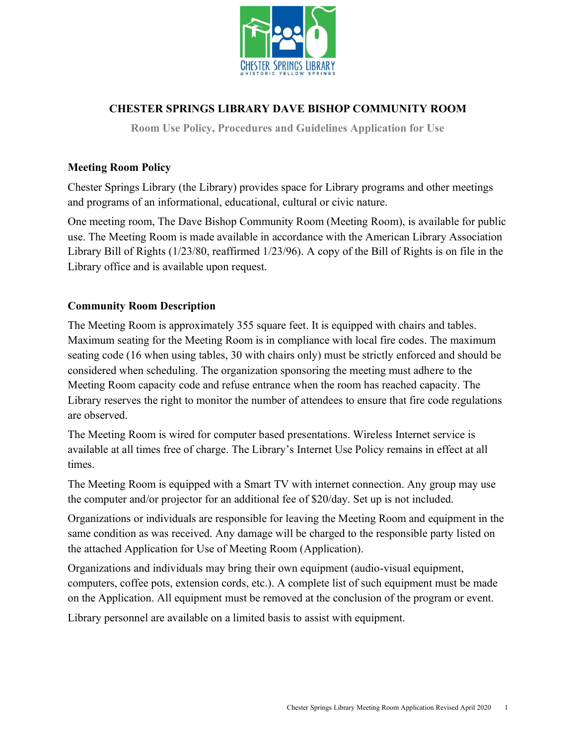

# **CHESTER SPRINGS LIBRARY DAVE BISHOP COMMUNITY ROOM**

**Room Use Policy, Procedures and Guidelines Application for Use**

### **Meeting Room Policy**

Chester Springs Library (the Library) provides space for Library programs and other meetings and programs of an informational, educational, cultural or civic nature.

One meeting room, The Dave Bishop Community Room (Meeting Room), is available for public use. The Meeting Room is made available in accordance with the American Library Association Library Bill of Rights (1/23/80, reaffirmed 1/23/96). A copy of the Bill of Rights is on file in the Library office and is available upon request.

# **Community Room Description**

The Meeting Room is approximately 355 square feet. It is equipped with chairs and tables. Maximum seating for the Meeting Room is in compliance with local fire codes. The maximum seating code (16 when using tables, 30 with chairs only) must be strictly enforced and should be considered when scheduling. The organization sponsoring the meeting must adhere to the Meeting Room capacity code and refuse entrance when the room has reached capacity. The Library reserves the right to monitor the number of attendees to ensure that fire code regulations are observed.

The Meeting Room is wired for computer based presentations. Wireless Internet service is available at all times free of charge. The Library's Internet Use Policy remains in effect at all times.

The Meeting Room is equipped with a Smart TV with internet connection. Any group may use the computer and/or projector for an additional fee of \$20/day. Set up is not included.

Organizations or individuals are responsible for leaving the Meeting Room and equipment in the same condition as was received. Any damage will be charged to the responsible party listed on the attached Application for Use of Meeting Room (Application).

Organizations and individuals may bring their own equipment (audio-visual equipment, computers, coffee pots, extension cords, etc.). A complete list of such equipment must be made on the Application. All equipment must be removed at the conclusion of the program or event.

Library personnel are available on a limited basis to assist with equipment.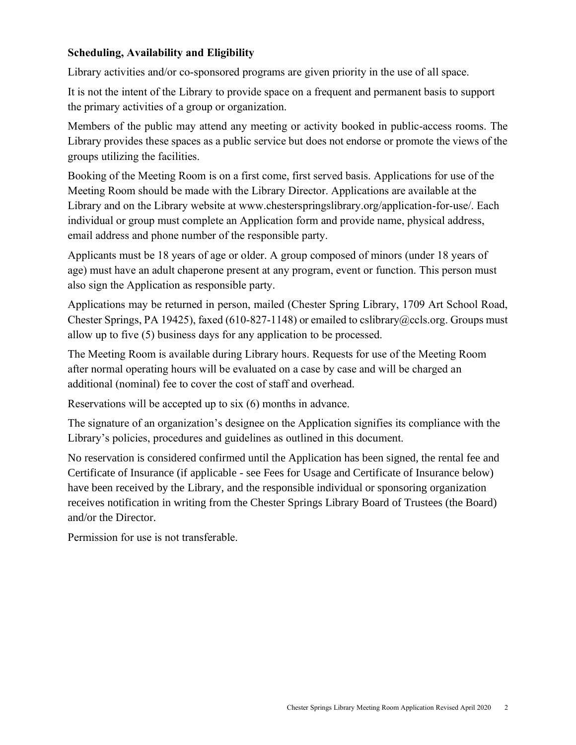### **Scheduling, Availability and Eligibility**

Library activities and/or co-sponsored programs are given priority in the use of all space.

It is not the intent of the Library to provide space on a frequent and permanent basis to support the primary activities of a group or organization.

Members of the public may attend any meeting or activity booked in public-access rooms. The Library provides these spaces as a public service but does not endorse or promote the views of the groups utilizing the facilities.

Booking of the Meeting Room is on a first come, first served basis. Applications for use of the Meeting Room should be made with the Library Director. Applications are available at the Library and on the Library website at www.chesterspringslibrary.org/application-for-use/. Each individual or group must complete an Application form and provide name, physical address, email address and phone number of the responsible party.

Applicants must be 18 years of age or older. A group composed of minors (under 18 years of age) must have an adult chaperone present at any program, event or function. This person must also sign the Application as responsible party.

Applications may be returned in person, mailed (Chester Spring Library, 1709 Art School Road, Chester Springs, PA 19425), faxed (610-827-1148) or emailed to cslibrary@ccls.org. Groups must allow up to five (5) business days for any application to be processed.

The Meeting Room is available during Library hours. Requests for use of the Meeting Room after normal operating hours will be evaluated on a case by case and will be charged an additional (nominal) fee to cover the cost of staff and overhead.

Reservations will be accepted up to six (6) months in advance.

The signature of an organization's designee on the Application signifies its compliance with the Library's policies, procedures and guidelines as outlined in this document.

No reservation is considered confirmed until the Application has been signed, the rental fee and Certificate of Insurance (if applicable - see Fees for Usage and Certificate of Insurance below) have been received by the Library, and the responsible individual or sponsoring organization receives notification in writing from the Chester Springs Library Board of Trustees (the Board) and/or the Director.

Permission for use is not transferable.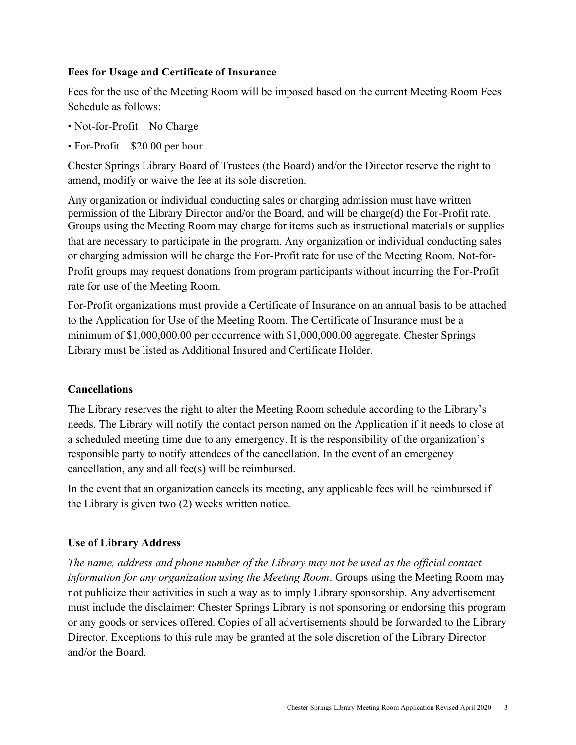# **Fees for Usage and Certificate of Insurance**

Fees for the use of the Meeting Room will be imposed based on the current Meeting Room Fees Schedule as follows:

- Not-for-Profit No Charge
- For-Profit \$20.00 per hour

Chester Springs Library Board of Trustees (the Board) and/or the Director reserve the right to amend, modify or waive the fee at its sole discretion.

Any organization or individual conducting sales or charging admission must have written permission of the Library Director and/or the Board, and will be charge(d) the For-Profit rate. Groups using the Meeting Room may charge for items such as instructional materials or supplies that are necessary to participate in the program. Any organization or individual conducting sales or charging admission will be charge the For-Profit rate for use of the Meeting Room. Not-for-Profit groups may request donations from program participants without incurring the For-Profit rate for use of the Meeting Room.

For-Profit organizations must provide a Certificate of Insurance on an annual basis to be attached to the Application for Use of the Meeting Room. The Certificate of Insurance must be a minimum of \$1,000,000.00 per occurrence with \$1,000,000.00 aggregate. Chester Springs Library must be listed as Additional Insured and Certificate Holder.

# **Cancellations**

The Library reserves the right to alter the Meeting Room schedule according to the Library's needs. The Library will notify the contact person named on the Application if it needs to close at a scheduled meeting time due to any emergency. It is the responsibility of the organization's responsible party to notify attendees of the cancellation. In the event of an emergency cancellation, any and all fee(s) will be reimbursed.

In the event that an organization cancels its meeting, any applicable fees will be reimbursed if the Library is given two (2) weeks written notice.

# **Use of Library Address**

*The name, address and phone number of the Library may not be used as the official contact information for any organization using the Meeting Room*. Groups using the Meeting Room may not publicize their activities in such a way as to imply Library sponsorship. Any advertisement must include the disclaimer: Chester Springs Library is not sponsoring or endorsing this program or any goods or services offered. Copies of all advertisements should be forwarded to the Library Director. Exceptions to this rule may be granted at the sole discretion of the Library Director and/or the Board.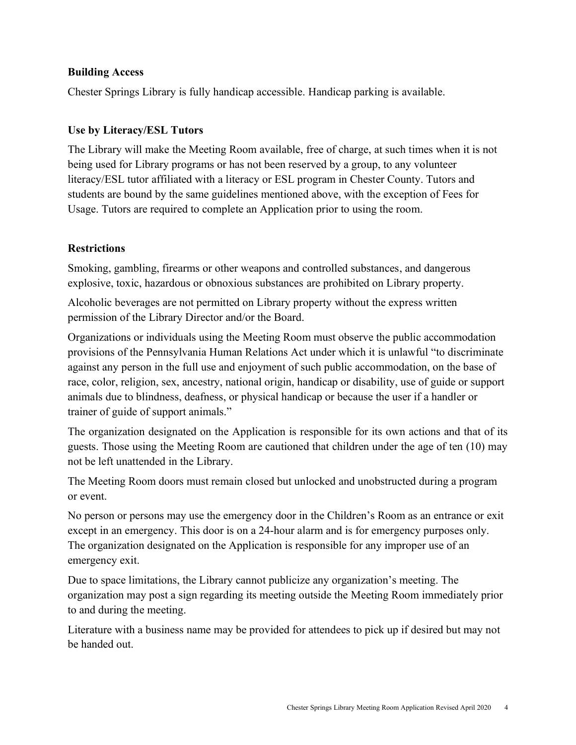### **Building Access**

Chester Springs Library is fully handicap accessible. Handicap parking is available.

#### **Use by Literacy/ESL Tutors**

The Library will make the Meeting Room available, free of charge, at such times when it is not being used for Library programs or has not been reserved by a group, to any volunteer literacy/ESL tutor affiliated with a literacy or ESL program in Chester County. Tutors and students are bound by the same guidelines mentioned above, with the exception of Fees for Usage. Tutors are required to complete an Application prior to using the room.

### **Restrictions**

Smoking, gambling, firearms or other weapons and controlled substances, and dangerous explosive, toxic, hazardous or obnoxious substances are prohibited on Library property.

Alcoholic beverages are not permitted on Library property without the express written permission of the Library Director and/or the Board.

Organizations or individuals using the Meeting Room must observe the public accommodation provisions of the Pennsylvania Human Relations Act under which it is unlawful "to discriminate against any person in the full use and enjoyment of such public accommodation, on the base of race, color, religion, sex, ancestry, national origin, handicap or disability, use of guide or support animals due to blindness, deafness, or physical handicap or because the user if a handler or trainer of guide of support animals."

The organization designated on the Application is responsible for its own actions and that of its guests. Those using the Meeting Room are cautioned that children under the age of ten (10) may not be left unattended in the Library.

The Meeting Room doors must remain closed but unlocked and unobstructed during a program or event.

No person or persons may use the emergency door in the Children's Room as an entrance or exit except in an emergency. This door is on a 24-hour alarm and is for emergency purposes only. The organization designated on the Application is responsible for any improper use of an emergency exit.

Due to space limitations, the Library cannot publicize any organization's meeting. The organization may post a sign regarding its meeting outside the Meeting Room immediately prior to and during the meeting.

Literature with a business name may be provided for attendees to pick up if desired but may not be handed out.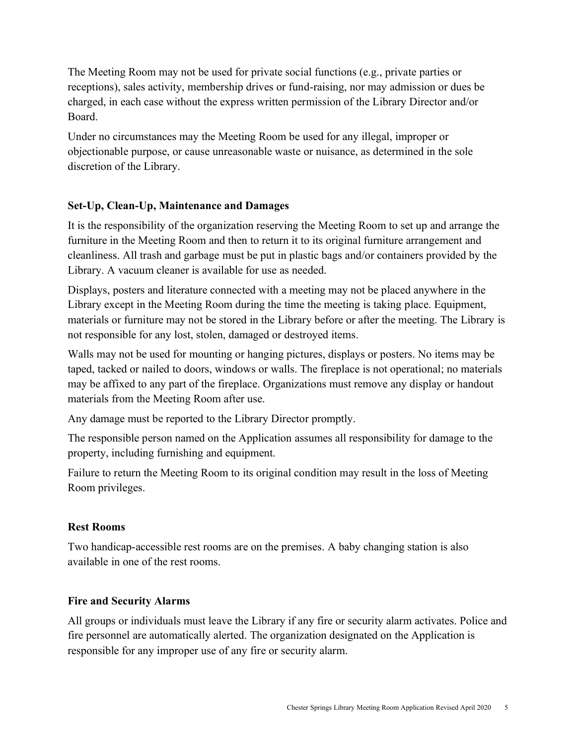The Meeting Room may not be used for private social functions (e.g., private parties or receptions), sales activity, membership drives or fund-raising, nor may admission or dues be charged, in each case without the express written permission of the Library Director and/or Board.

Under no circumstances may the Meeting Room be used for any illegal, improper or objectionable purpose, or cause unreasonable waste or nuisance, as determined in the sole discretion of the Library.

### **Set-Up, Clean-Up, Maintenance and Damages**

It is the responsibility of the organization reserving the Meeting Room to set up and arrange the furniture in the Meeting Room and then to return it to its original furniture arrangement and cleanliness. All trash and garbage must be put in plastic bags and/or containers provided by the Library. A vacuum cleaner is available for use as needed.

Displays, posters and literature connected with a meeting may not be placed anywhere in the Library except in the Meeting Room during the time the meeting is taking place. Equipment, materials or furniture may not be stored in the Library before or after the meeting. The Library is not responsible for any lost, stolen, damaged or destroyed items.

Walls may not be used for mounting or hanging pictures, displays or posters. No items may be taped, tacked or nailed to doors, windows or walls. The fireplace is not operational; no materials may be affixed to any part of the fireplace. Organizations must remove any display or handout materials from the Meeting Room after use.

Any damage must be reported to the Library Director promptly.

The responsible person named on the Application assumes all responsibility for damage to the property, including furnishing and equipment.

Failure to return the Meeting Room to its original condition may result in the loss of Meeting Room privileges.

#### **Rest Rooms**

Two handicap-accessible rest rooms are on the premises. A baby changing station is also available in one of the rest rooms.

#### **Fire and Security Alarms**

All groups or individuals must leave the Library if any fire or security alarm activates. Police and fire personnel are automatically alerted. The organization designated on the Application is responsible for any improper use of any fire or security alarm.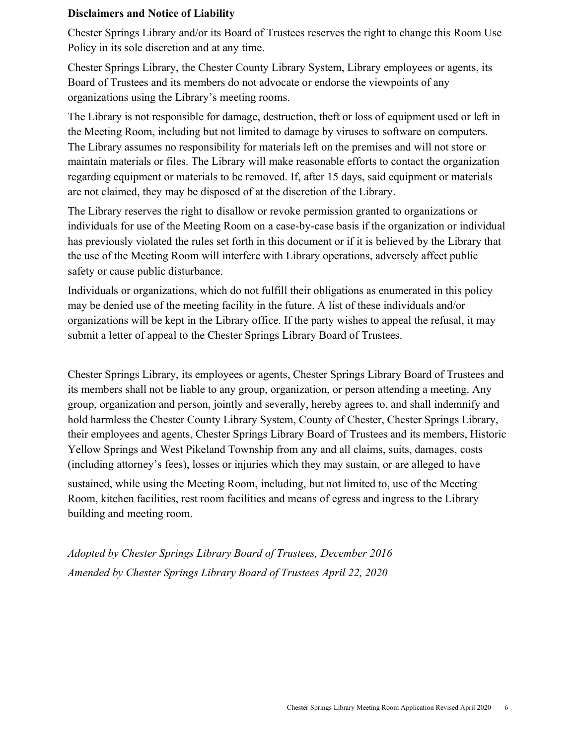#### **Disclaimers and Notice of Liability**

Chester Springs Library and/or its Board of Trustees reserves the right to change this Room Use Policy in its sole discretion and at any time.

Chester Springs Library, the Chester County Library System, Library employees or agents, its Board of Trustees and its members do not advocate or endorse the viewpoints of any organizations using the Library's meeting rooms.

The Library is not responsible for damage, destruction, theft or loss of equipment used or left in the Meeting Room, including but not limited to damage by viruses to software on computers. The Library assumes no responsibility for materials left on the premises and will not store or maintain materials or files. The Library will make reasonable efforts to contact the organization regarding equipment or materials to be removed. If, after 15 days, said equipment or materials are not claimed, they may be disposed of at the discretion of the Library.

The Library reserves the right to disallow or revoke permission granted to organizations or individuals for use of the Meeting Room on a case-by-case basis if the organization or individual has previously violated the rules set forth in this document or if it is believed by the Library that the use of the Meeting Room will interfere with Library operations, adversely affect public safety or cause public disturbance.

Individuals or organizations, which do not fulfill their obligations as enumerated in this policy may be denied use of the meeting facility in the future. A list of these individuals and/or organizations will be kept in the Library office. If the party wishes to appeal the refusal, it may submit a letter of appeal to the Chester Springs Library Board of Trustees.

Chester Springs Library, its employees or agents, Chester Springs Library Board of Trustees and its members shall not be liable to any group, organization, or person attending a meeting. Any group, organization and person, jointly and severally, hereby agrees to, and shall indemnify and hold harmless the Chester County Library System, County of Chester, Chester Springs Library, their employees and agents, Chester Springs Library Board of Trustees and its members, Historic Yellow Springs and West Pikeland Township from any and all claims, suits, damages, costs (including attorney's fees), losses or injuries which they may sustain, or are alleged to have

sustained, while using the Meeting Room, including, but not limited to, use of the Meeting Room, kitchen facilities, rest room facilities and means of egress and ingress to the Library building and meeting room.

*Adopted by Chester Springs Library Board of Trustees, December 2016 Amended by Chester Springs Library Board of Trustees April 22, 2020*